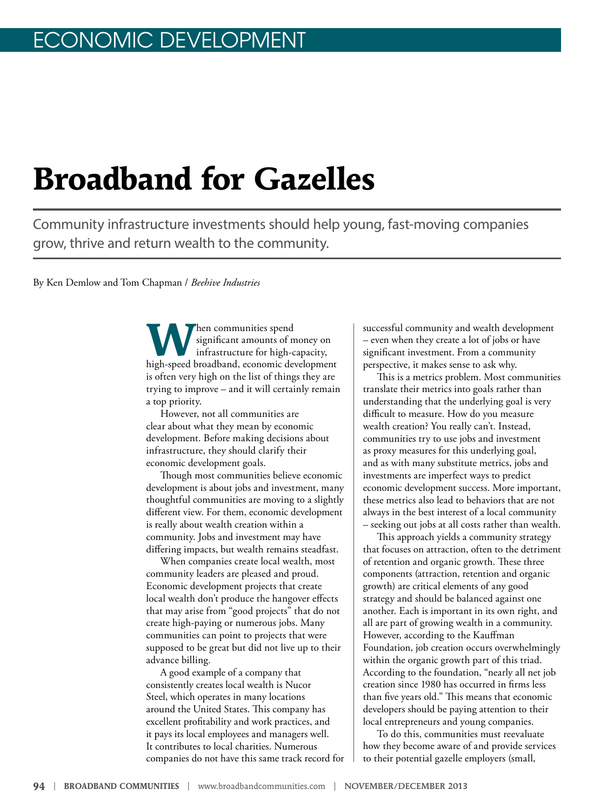# **Broadband for Gazelles**

Community infrastructure investments should help young, fast-moving companies grow, thrive and return wealth to the community.

By Ken Demlow and Tom Chapman / *Beehive Industries*

**W** hen communities spend<br>
infrastructure for high-capacity,<br>
high-graced bracehord associated divelances significant amounts of money on high-speed broadband, economic development is often very high on the list of things they are trying to improve – and it will certainly remain a top priority.

However, not all communities are clear about what they mean by economic development. Before making decisions about infrastructure, they should clarify their economic development goals.

Though most communities believe economic development is about jobs and investment, many thoughtful communities are moving to a slightly different view. For them, economic development is really about wealth creation within a community. Jobs and investment may have differing impacts, but wealth remains steadfast.

When companies create local wealth, most community leaders are pleased and proud. Economic development projects that create local wealth don't produce the hangover effects that may arise from "good projects" that do not create high-paying or numerous jobs. Many communities can point to projects that were supposed to be great but did not live up to their advance billing.

A good example of a company that consistently creates local wealth is Nucor Steel, which operates in many locations around the United States. This company has excellent profitability and work practices, and it pays its local employees and managers well. It contributes to local charities. Numerous companies do not have this same track record for successful community and wealth development – even when they create a lot of jobs or have significant investment. From a community perspective, it makes sense to ask why.

This is a metrics problem. Most communities translate their metrics into goals rather than understanding that the underlying goal is very difficult to measure. How do you measure wealth creation? You really can't. Instead, communities try to use jobs and investment as proxy measures for this underlying goal, and as with many substitute metrics, jobs and investments are imperfect ways to predict economic development success. More important, these metrics also lead to behaviors that are not always in the best interest of a local community – seeking out jobs at all costs rather than wealth.

This approach yields a community strategy that focuses on attraction, often to the detriment of retention and organic growth. These three components (attraction, retention and organic growth) are critical elements of any good strategy and should be balanced against one another. Each is important in its own right, and all are part of growing wealth in a community. However, according to the Kauffman Foundation, job creation occurs overwhelmingly within the organic growth part of this triad. According to the foundation, "nearly all net job creation since 1980 has occurred in firms less than five years old." This means that economic developers should be paying attention to their local entrepreneurs and young companies.

To do this, communities must reevaluate how they become aware of and provide services to their potential gazelle employers (small,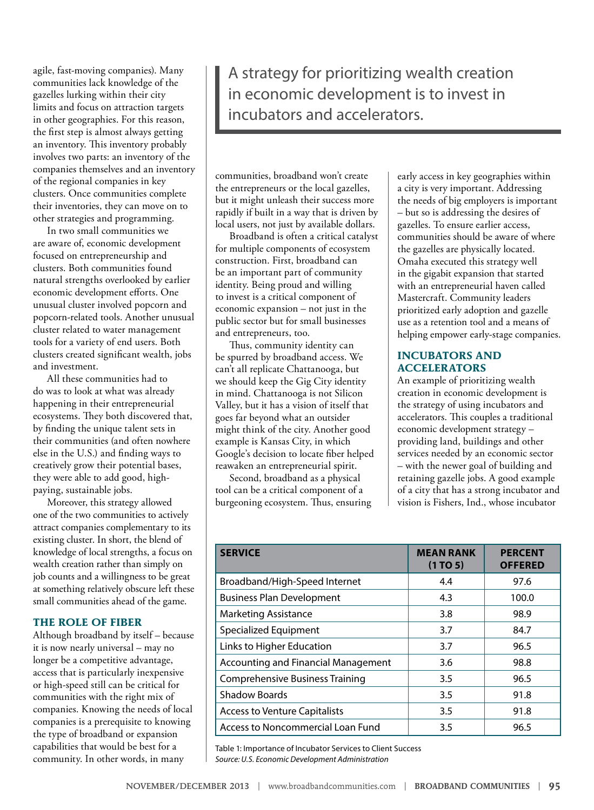agile, fast-moving companies). Many communities lack knowledge of the gazelles lurking within their city limits and focus on attraction targets in other geographies. For this reason, the first step is almost always getting an inventory. This inventory probably involves two parts: an inventory of the companies themselves and an inventory of the regional companies in key clusters. Once communities complete their inventories, they can move on to other strategies and programming.

In two small communities we are aware of, economic development focused on entrepreneurship and clusters. Both communities found natural strengths overlooked by earlier economic development efforts. One unusual cluster involved popcorn and popcorn-related tools. Another unusual cluster related to water management tools for a variety of end users. Both clusters created significant wealth, jobs and investment.

All these communities had to do was to look at what was already happening in their entrepreneurial ecosystems. They both discovered that, by finding the unique talent sets in their communities (and often nowhere else in the U.S.) and finding ways to creatively grow their potential bases, they were able to add good, highpaying, sustainable jobs.

Moreover, this strategy allowed one of the two communities to actively attract companies complementary to its existing cluster. In short, the blend of knowledge of local strengths, a focus on wealth creation rather than simply on job counts and a willingness to be great at something relatively obscure left these small communities ahead of the game.

#### **THE ROLE OF FIBER**

Although broadband by itself – because it is now nearly universal – may no longer be a competitive advantage, access that is particularly inexpensive or high-speed still can be critical for communities with the right mix of companies. Knowing the needs of local companies is a prerequisite to knowing the type of broadband or expansion capabilities that would be best for a community. In other words, in many

A strategy for prioritizing wealth creation in economic development is to invest in incubators and accelerators.

communities, broadband won't create the entrepreneurs or the local gazelles, but it might unleash their success more rapidly if built in a way that is driven by local users, not just by available dollars.

Broadband is often a critical catalyst for multiple components of ecosystem construction. First, broadband can be an important part of community identity. Being proud and willing to invest is a critical component of economic expansion – not just in the public sector but for small businesses and entrepreneurs, too.

Thus, community identity can be spurred by broadband access. We can't all replicate Chattanooga, but we should keep the Gig City identity in mind. Chattanooga is not Silicon Valley, but it has a vision of itself that goes far beyond what an outsider might think of the city. Another good example is Kansas City, in which Google's decision to locate fiber helped reawaken an entrepreneurial spirit.

Second, broadband as a physical tool can be a critical component of a burgeoning ecosystem. Thus, ensuring early access in key geographies within a city is very important. Addressing the needs of big employers is important – but so is addressing the desires of gazelles. To ensure earlier access, communities should be aware of where the gazelles are physically located. Omaha executed this strategy well in the gigabit expansion that started with an entrepreneurial haven called Mastercraft. Community leaders prioritized early adoption and gazelle use as a retention tool and a means of helping empower early-stage companies.

#### **INCUBATORS AND ACCELERATORS**

An example of prioritizing wealth creation in economic development is the strategy of using incubators and accelerators. This couples a traditional economic development strategy – providing land, buildings and other services needed by an economic sector – with the newer goal of building and retaining gazelle jobs. A good example of a city that has a strong incubator and vision is Fishers, Ind., whose incubator

| <b>SERVICE</b>                             | <b>MEAN RANK</b><br>(1 TO 5) | <b>PERCENT</b><br><b>OFFERED</b> |
|--------------------------------------------|------------------------------|----------------------------------|
| Broadband/High-Speed Internet              | 4.4                          | 97.6                             |
| <b>Business Plan Development</b>           | 4.3                          | 100.0                            |
| <b>Marketing Assistance</b>                | 3.8                          | 98.9                             |
| Specialized Equipment                      | 3.7                          | 84.7                             |
| Links to Higher Education                  | 3.7                          | 96.5                             |
| <b>Accounting and Financial Management</b> | 3.6                          | 98.8                             |
| <b>Comprehensive Business Training</b>     | 3.5                          | 96.5                             |
| <b>Shadow Boards</b>                       | 3.5                          | 91.8                             |
| <b>Access to Venture Capitalists</b>       | 3.5                          | 91.8                             |
| Access to Noncommercial Loan Fund          | 3.5                          | 96.5                             |

Table 1: Importance of Incubator Services to Client Success *Source: U.S. Economic Development Administration*